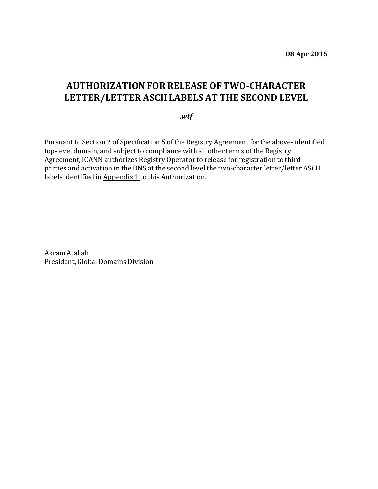## **AUTHORIZATIONFOR RELEASE OF TWO-CHARACTER LETTER/LETTER ASCII LABELS AT THE SECOND LEVEL**

## *.wtf*

Pursuant to Section 2 of Specification 5 of the Registry Agreement for the above- identified top-level domain, and subject to compliance with all other terms of the Registry Agreement, ICANN authorizes Registry Operator to release for registration to third parties and activation in the DNS at the second level the two-character letter/letter ASCII labels identified in Appendix 1 to this Authorization.

Akram Atallah President, Global Domains Division